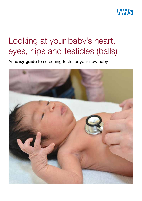

# Looking at your baby's heart, eyes, hips and testicles (balls)

An easy guide to screening tests for your new baby

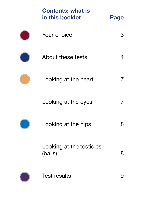| <b>Contents: what is</b><br>in this booklet | Page |
|---------------------------------------------|------|
| Your choice                                 | 3    |
| About these tests                           |      |
| Looking at the heart                        |      |
| Looking at the eyes                         |      |
| Looking at the hips                         | 8    |
| Looking at the testicles<br>(balls)         | 8    |
| <b>Test results</b>                         |      |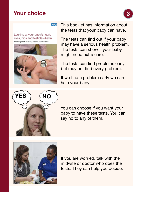# Your choice



**NHS** 

Looking at your baby's heart, eyes, hips and testicles (balls) An easy guide to screening tests for your new baby



This booklet has information about the tests that your baby can have.

The tests can find out if your baby may have a serious health problem. The tests can show if your baby might need extra care.

The tests can find problems early but may not find every problem.

If we find a problem early we can help your baby.



You can choose if you want your baby to have these tests. You can say no to any of them.



If you are worried, talk with the midwife or doctor who does the tests. They can help you decide.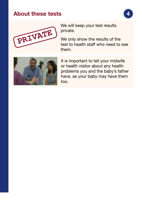## About these tests





We will keep your test results private.

We only show the results of the test to health staff who need to see them.



It is important to tell your midwife or health visitor about any health problems you and the baby's father have, as your baby may have them too.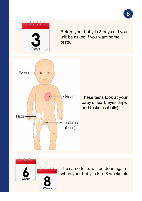

Before your baby is 3 days old you will be asked if you want some tests.



These tests look at your baby's heart, eyes, hips and testicles (balls).



The same tests will be done again when your baby is 6 to 8 weeks old.

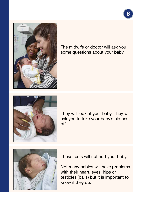

The midwife or doctor will ask you some questions about your baby.



They will look at your baby. They will ask you to take your baby's clothes off.



These tests will not hurt your baby.

Not many babies will have problems with their heart, eyes, hips or testicles (balls) but it is important to know if they do.

6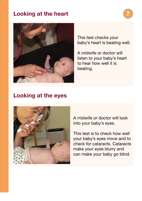# Looking at the heart





This test checks your baby's heart is beating well.

A midwife or doctor will listen to your baby's heart to hear how well it is beating.

### Looking at the eyes



A midwife or doctor will look into your baby's eyes.

This test is to check how well your baby's eyes move and to check for cataracts. Cataracts make your eyes blurry and can make your baby go blind.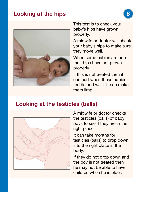# Looking at the hips



This test is to check your baby's hips have grown properly.

A midwife or doctor will check your baby's hips to make sure they move well.

When some babies are born their hips have not grown properly.

If this is not treated then it can hurt when these babies toddle and walk. It can make them limp.

### Looking at the testicles (balls)



A midwife or doctor checks the testicles (balls) of baby boys to see if they are in the right place.

It can take months for testicles (balls) to drop down into the right place in the body.

If they do not drop down and the boy is not treated then he may not be able to have children when he is older.